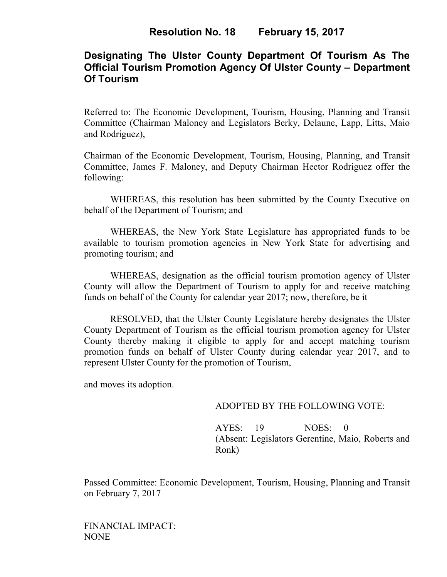# **Designating The Ulster County Department Of Tourism As The Official Tourism Promotion Agency Of Ulster County – Department Of Tourism**

Referred to: The Economic Development, Tourism, Housing, Planning and Transit Committee (Chairman Maloney and Legislators Berky, Delaune, Lapp, Litts, Maio and Rodriguez),

Chairman of the Economic Development, Tourism, Housing, Planning, and Transit Committee, James F. Maloney, and Deputy Chairman Hector Rodriguez offer the following:

WHEREAS, this resolution has been submitted by the County Executive on behalf of the Department of Tourism; and

 WHEREAS, the New York State Legislature has appropriated funds to be available to tourism promotion agencies in New York State for advertising and promoting tourism; and

WHEREAS, designation as the official tourism promotion agency of Ulster County will allow the Department of Tourism to apply for and receive matching funds on behalf of the County for calendar year 2017; now, therefore, be it

RESOLVED, that the Ulster County Legislature hereby designates the Ulster County Department of Tourism as the official tourism promotion agency for Ulster County thereby making it eligible to apply for and accept matching tourism promotion funds on behalf of Ulster County during calendar year 2017, and to represent Ulster County for the promotion of Tourism,

and moves its adoption.

## ADOPTED BY THE FOLLOWING VOTE:

AYES: 19 NOES: 0 (Absent: Legislators Gerentine, Maio, Roberts and Ronk)

Passed Committee: Economic Development, Tourism, Housing, Planning and Transit on February 7, 2017

FINANCIAL IMPACT: NONE